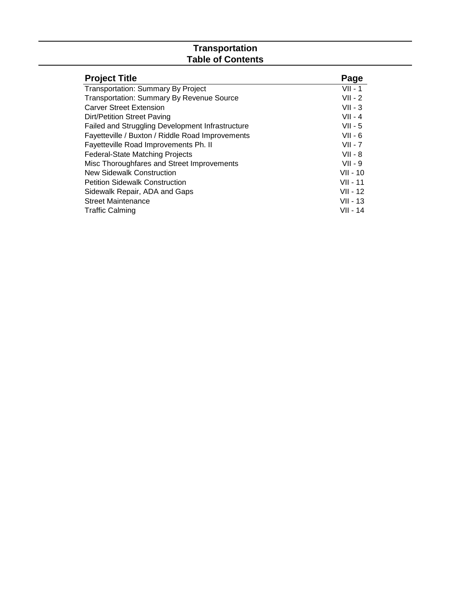#### **Transportation Table of Contents**

| <b>Project Title</b>                             | Page       |
|--------------------------------------------------|------------|
| <b>Transportation: Summary By Project</b>        | $VII - 1$  |
| <b>Transportation: Summary By Revenue Source</b> | $VII - 2$  |
| <b>Carver Street Extension</b>                   | $VII - 3$  |
| <b>Dirt/Petition Street Paving</b>               | $VII - 4$  |
| Failed and Struggling Development Infrastructure | $VII - 5$  |
| Fayetteville / Buxton / Riddle Road Improvements | $VII - 6$  |
| Fayetteville Road Improvements Ph. II            | $VII - 7$  |
| <b>Federal-State Matching Projects</b>           | $VII - 8$  |
| Misc Thoroughfares and Street Improvements       | $VII - 9$  |
| New Sidewalk Construction                        | $VII - 10$ |
| <b>Petition Sidewalk Construction</b>            | $VII - 11$ |
| Sidewalk Repair, ADA and Gaps                    | $VII - 12$ |
| <b>Street Maintenance</b>                        | $VII - 13$ |
| <b>Traffic Calming</b>                           | VII - 14   |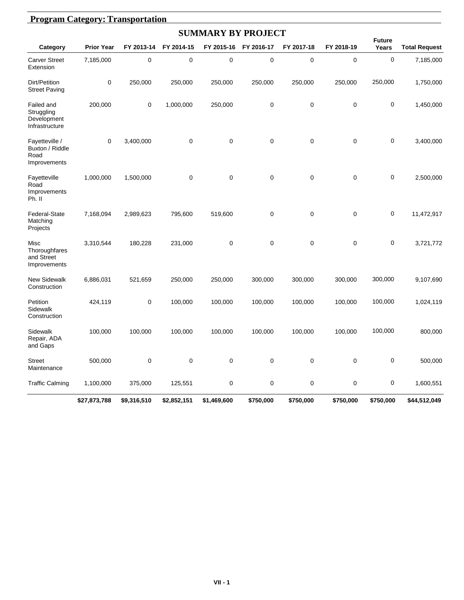|                                                           | <b>Program Category: Transportation</b> |             |             |                           |            |             |             |                        |                      |  |  |  |
|-----------------------------------------------------------|-----------------------------------------|-------------|-------------|---------------------------|------------|-------------|-------------|------------------------|----------------------|--|--|--|
|                                                           |                                         |             |             | <b>SUMMARY BY PROJECT</b> |            |             |             |                        |                      |  |  |  |
| Category                                                  | <b>Prior Year</b>                       | FY 2013-14  | FY 2014-15  | FY 2015-16                | FY 2016-17 | FY 2017-18  | FY 2018-19  | <b>Future</b><br>Years | <b>Total Request</b> |  |  |  |
| <b>Carver Street</b><br>Extension                         | 7,185,000                               | 0           | 0           | 0                         | $\pmb{0}$  | 0           | $\mathbf 0$ | $\mathbf 0$            | 7,185,000            |  |  |  |
| Dirt/Petition<br><b>Street Paving</b>                     | $\pmb{0}$                               | 250,000     | 250,000     | 250,000                   | 250,000    | 250,000     | 250,000     | 250,000                | 1,750,000            |  |  |  |
| Failed and<br>Struggling<br>Development<br>Infrastructure | 200,000                                 | 0           | 1,000,000   | 250,000                   | 0          | $\mathbf 0$ | $\mathbf 0$ | $\mathbf 0$            | 1,450,000            |  |  |  |
| Fayetteville /<br>Buxton / Riddle<br>Road<br>Improvements | $\mathbf 0$                             | 3,400,000   | 0           | $\mathbf 0$               | 0          | 0           | $\mathbf 0$ | $\mathbf 0$            | 3,400,000            |  |  |  |
| Fayetteville<br>Road<br>Improvements<br>Ph. II            | 1,000,000                               | 1,500,000   | 0           | 0                         | 0          | 0           | $\mathbf 0$ | $\mathbf 0$            | 2,500,000            |  |  |  |
| Federal-State<br>Matching<br>Projects                     | 7,168,094                               | 2,989,623   | 795,600     | 519,600                   | 0          | 0           | $\mathbf 0$ | $\mathbf 0$            | 11,472,917           |  |  |  |
| Misc<br>Thoroughfares<br>and Street<br>Improvements       | 3,310,544                               | 180,228     | 231,000     | 0                         | 0          | 0           | $\mathbf 0$ | $\mathbf 0$            | 3,721,772            |  |  |  |
| <b>New Sidewalk</b><br>Construction                       | 6,886,031                               | 521,659     | 250,000     | 250,000                   | 300,000    | 300,000     | 300,000     | 300,000                | 9,107,690            |  |  |  |
| Petition<br>Sidewalk<br>Construction                      | 424,119                                 | $\pmb{0}$   | 100,000     | 100,000                   | 100,000    | 100,000     | 100,000     | 100,000                | 1,024,119            |  |  |  |
| Sidewalk<br>Repair, ADA<br>and Gaps                       | 100,000                                 | 100,000     | 100,000     | 100,000                   | 100,000    | 100,000     | 100,000     | 100,000                | 800,000              |  |  |  |
| <b>Street</b><br>Maintenance                              | 500,000                                 | 0           | 0           | 0                         | 0          | 0           | $\mathbf 0$ | 0                      | 500,000              |  |  |  |
| <b>Traffic Calming</b>                                    | 1,100,000                               | 375,000     | 125,551     | 0                         | 0          | 0           | 0           | $\mathbf 0$            | 1,600,551            |  |  |  |
|                                                           | \$27,873,788                            | \$9,316,510 | \$2,852,151 | \$1,469,600               | \$750,000  | \$750,000   | \$750,000   | \$750,000              | \$44,512,049         |  |  |  |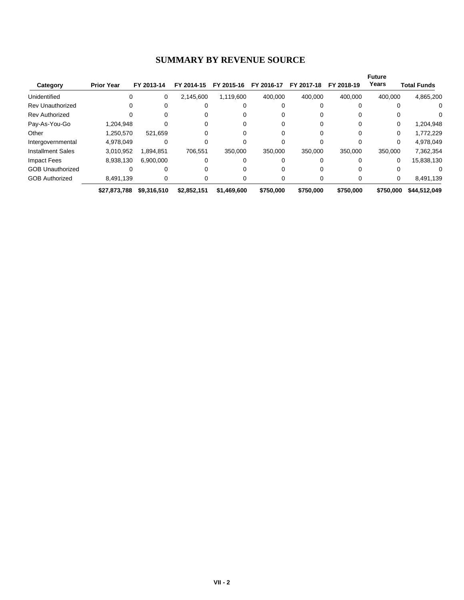# **SUMMARY BY REVENUE SOURCE**

|                          |                   |             |             |             |            |            |            | <b>Future</b> |                    |
|--------------------------|-------------------|-------------|-------------|-------------|------------|------------|------------|---------------|--------------------|
| Category                 | <b>Prior Year</b> | FY 2013-14  | FY 2014-15  | FY 2015-16  | FY 2016-17 | FY 2017-18 | FY 2018-19 | Years         | <b>Total Funds</b> |
| Unidentified             | 0                 | 0           | 2,145,600   | 1,119,600   | 400.000    | 400,000    | 400.000    | 400.000       | 4,865,200          |
| <b>Rev Unauthorized</b>  |                   |             |             |             |            |            |            |               | $\Omega$           |
| <b>Rev Authorized</b>    |                   |             |             |             |            |            |            |               |                    |
| Pay-As-You-Go            | 1,204,948         |             |             |             |            |            |            | 0             | 1,204,948          |
| Other                    | 1,250,570         | 521.659     |             |             |            |            |            | 0             | 1,772,229          |
| Intergovernmental        | 4,978,049         |             |             |             |            |            |            | 0             | 4,978,049          |
| <b>Installment Sales</b> | 3,010,952         | 1.894.851   | 706.551     | 350.000     | 350.000    | 350.000    | 350,000    | 350,000       | 7,362,354          |
| <b>Impact Fees</b>       | 8,938,130         | 6.900.000   |             |             |            |            |            | 0             | 15,838,130         |
| <b>GOB Unauthorized</b>  |                   |             |             |             |            |            |            |               |                    |
| <b>GOB Authorized</b>    | 8.491.139         |             |             |             | 0          |            |            | 0             | 8,491,139          |
|                          | \$27,873,788      | \$9,316,510 | \$2,852,151 | \$1,469,600 | \$750,000  | \$750,000  | \$750,000  | \$750,000     | \$44,512,049       |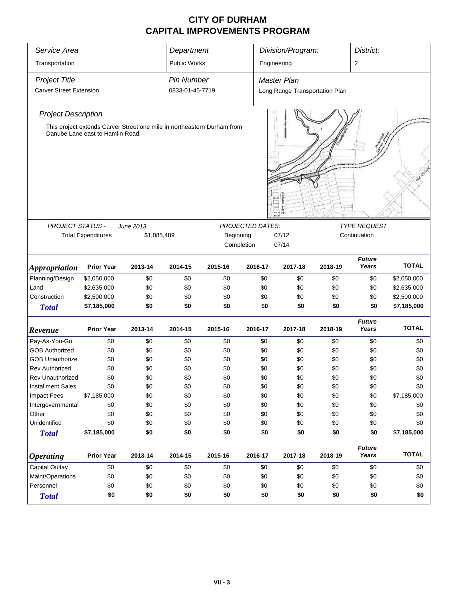| Service Area                   | Department                       |                                                                         |                     | Division/Program: |                         |                                |         |                         |              |
|--------------------------------|----------------------------------|-------------------------------------------------------------------------|---------------------|-------------------|-------------------------|--------------------------------|---------|-------------------------|--------------|
| Transportation                 |                                  |                                                                         | <b>Public Works</b> |                   |                         | Engineering                    |         | $\overline{\mathbf{c}}$ |              |
| <b>Project Title</b>           |                                  |                                                                         | <b>Pin Number</b>   |                   |                         | Master Plan                    |         |                         |              |
| <b>Carver Street Extension</b> |                                  |                                                                         | 0833-01-45-7719     |                   |                         | Long Range Transportation Plan |         |                         |              |
| <b>Project Description</b>     | Danube Lane east to Hamlin Road. | This project extends Carver Street one mile in northeastern Durham from |                     |                   |                         |                                |         |                         |              |
|                                |                                  |                                                                         |                     |                   |                         |                                |         |                         |              |
| PROJECT STATUS -               |                                  | June 2013                                                               |                     |                   | <b>PROJECTED DATES:</b> |                                |         | <b>TYPE REQUEST</b>     |              |
|                                | <b>Total Expenditures</b>        | \$1,085,489                                                             |                     | Beginning         |                         | 07/12                          |         | Continuation            |              |
|                                |                                  |                                                                         |                     |                   | Completion              | 07/14                          |         |                         |              |
| <b>Appropriation</b>           | <b>Prior Year</b>                | 2013-14                                                                 | 2014-15             | 2015-16           | 2016-17                 | 2017-18                        | 2018-19 | <b>Future</b><br>Years  | <b>TOTAL</b> |
| Planning/Design                | \$2,050,000                      | \$0                                                                     | \$0                 | \$0               | \$0                     | \$0                            | \$0     | \$0                     | \$2,050,000  |
| Land                           | \$2,635,000                      | \$0                                                                     | \$0                 | \$0               | \$0                     | \$0                            | \$0     | \$0                     | \$2,635,000  |
| Construction                   | \$2,500,000                      | \$0                                                                     | \$0                 | \$0               | \$0                     | \$0                            | \$0     | \$0                     | \$2,500,000  |
| <b>Total</b>                   | \$7,185,000                      | \$0                                                                     | \$0                 | \$0               | \$0                     | \$0                            | \$0     | \$0                     | \$7,185,000  |
| Revenue                        | <b>Prior Year</b>                | 2013-14                                                                 | 2014-15             | 2015-16           | 2016-17                 | 2017-18                        | 2018-19 | <b>Future</b><br>Years  | <b>TOTAL</b> |
| Pay-As-You-Go                  | \$0                              | \$0                                                                     | \$0                 | \$0               | \$0                     | \$0                            | \$0     | \$0                     | \$0          |
| <b>GOB Authorized</b>          | \$0                              | \$0                                                                     | \$0                 | \$0               | \$0                     | \$0                            | \$0     | \$0                     | \$0          |
| <b>GOB Unauthorize</b>         | \$0                              | \$0                                                                     | \$0                 | \$0               | \$0                     | \$0                            | \$0     | \$0                     | \$0          |
| <b>Rev Authorized</b>          | \$0                              | \$0                                                                     | \$0                 | \$0               | \$0                     | \$0                            | \$0     | \$0                     | \$0          |
| Rev Unauthorized               | \$0                              | \$0                                                                     | \$0                 | \$0               | \$0                     | \$0                            | \$0     | \$0                     | \$0          |
| <b>Installment Sales</b>       | \$0                              | \$0                                                                     | \$0                 | \$0               | \$0                     | \$0                            | \$0     | \$0                     | \$0          |
| <b>Impact Fees</b>             | \$7,185,000                      | \$0                                                                     | \$0                 | \$0               | \$0                     | \$0                            | \$0     | \$0                     | \$7,185,000  |
| Intergovernmental              | \$0                              | \$0                                                                     | \$0                 | \$0               | \$0                     | \$0                            | \$0     | \$0                     | \$0          |
| Other                          | \$0                              | \$0                                                                     | \$0                 | \$0               | \$0                     | \$0                            | \$0     | \$0                     | \$0          |
| Unidentified                   | \$0                              | \$0                                                                     | \$0                 | \$0               | \$0                     | \$0                            | \$0     | \$0                     | \$0          |
| <b>Total</b>                   | \$7,185,000                      | \$0                                                                     | \$0                 | \$0               | \$0                     | \$0                            | \$0     | \$0                     | \$7,185,000  |
| <b>Operating</b>               | <b>Prior Year</b>                | 2013-14                                                                 | 2014-15             | 2015-16           | 2016-17                 | 2017-18                        | 2018-19 | <b>Future</b><br>Years  | <b>TOTAL</b> |
| Capital Outlay                 | \$0                              | \$0                                                                     | \$0                 | \$0               | \$0                     | \$0                            | \$0     | \$0                     | \$0          |
| Maint/Operations               | \$0                              | \$0                                                                     | \$0                 | \$0               | \$0                     | \$0                            | \$0     | \$0                     | \$0          |
| Personnel                      | \$0                              | \$0                                                                     | \$0                 | \$0               | \$0                     | \$0                            | \$0     | \$0                     | \$0          |
| <b>Total</b>                   | \$0                              | \$0                                                                     | \$0                 | \$0               | \$0                     | \$0                            | \$0     | \$0                     | \$0          |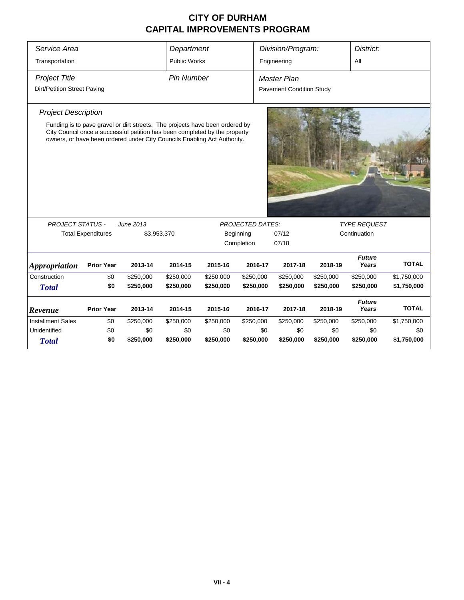| Service Area                                                                                                                                                                                                                                                                                                                     |                           |           | Department          |           |                                 | Division/Program: |              | District:              |              |  |  |  |
|----------------------------------------------------------------------------------------------------------------------------------------------------------------------------------------------------------------------------------------------------------------------------------------------------------------------------------|---------------------------|-----------|---------------------|-----------|---------------------------------|-------------------|--------------|------------------------|--------------|--|--|--|
| Transportation                                                                                                                                                                                                                                                                                                                   |                           |           | <b>Public Works</b> |           |                                 | Engineering       |              | All                    |              |  |  |  |
| <b>Project Title</b>                                                                                                                                                                                                                                                                                                             |                           |           | <b>Pin Number</b>   |           |                                 | Master Plan       |              |                        |              |  |  |  |
| Dirt/Petition Street Paving                                                                                                                                                                                                                                                                                                      |                           |           |                     |           | <b>Pavement Condition Study</b> |                   |              |                        |              |  |  |  |
| <b>Project Description</b>                                                                                                                                                                                                                                                                                                       |                           |           |                     |           |                                 |                   |              |                        |              |  |  |  |
| Funding is to pave gravel or dirt streets. The projects have been ordered by<br>City Council once a successful petition has been completed by the property<br>owners, or have been ordered under City Councils Enabling Act Authority.<br><b>PROJECT STATUS -</b><br><b>TYPE REQUEST</b><br>June 2013<br><b>PROJECTED DATES:</b> |                           |           |                     |           |                                 |                   |              |                        |              |  |  |  |
|                                                                                                                                                                                                                                                                                                                                  | <b>Total Expenditures</b> |           | \$3,953,370         |           | Beginning                       | 07/12             | Continuation |                        |              |  |  |  |
|                                                                                                                                                                                                                                                                                                                                  |                           |           |                     |           | Completion                      | 07/18             |              |                        |              |  |  |  |
| <b>Appropriation</b>                                                                                                                                                                                                                                                                                                             | <b>Prior Year</b>         | 2013-14   | 2014-15             | 2015-16   | 2016-17                         | 2017-18           | 2018-19      | <b>Future</b><br>Years | <b>TOTAL</b> |  |  |  |
| Construction                                                                                                                                                                                                                                                                                                                     | \$0                       | \$250,000 | \$250,000           | \$250,000 | \$250,000                       | \$250,000         | \$250,000    | \$250,000              | \$1,750,000  |  |  |  |
| <b>Total</b>                                                                                                                                                                                                                                                                                                                     | \$0                       | \$250,000 | \$250,000           | \$250,000 | \$250,000                       | \$250,000         | \$250,000    | \$250,000              | \$1,750,000  |  |  |  |
| Revenue                                                                                                                                                                                                                                                                                                                          | <b>Prior Year</b>         | 2013-14   | 2014-15             | 2015-16   | 2016-17                         | 2017-18           | 2018-19      | <b>Future</b><br>Years | <b>TOTAL</b> |  |  |  |
| <b>Installment Sales</b>                                                                                                                                                                                                                                                                                                         | \$0                       | \$250,000 | \$250,000           | \$250,000 | \$250,000                       | \$250,000         | \$250,000    | \$250,000              | \$1,750,000  |  |  |  |
| Unidentified                                                                                                                                                                                                                                                                                                                     | \$0                       | \$0       | \$0                 | \$0       | \$0                             | \$0               | \$0          | \$0                    | \$0          |  |  |  |
| <b>Total</b>                                                                                                                                                                                                                                                                                                                     | \$0                       | \$250,000 | \$250,000           | \$250,000 | \$250,000                       | \$250,000         | \$250,000    | \$250,000              | \$1,750,000  |  |  |  |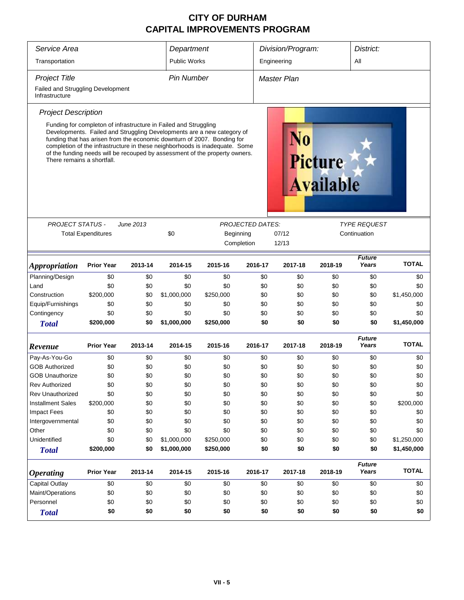| Service Area                                        |                           |           | Department                                                       |                                                                                                                                                                                                                                                                                                                 |                         | Division/Program: |                                    | District:                           |              |
|-----------------------------------------------------|---------------------------|-----------|------------------------------------------------------------------|-----------------------------------------------------------------------------------------------------------------------------------------------------------------------------------------------------------------------------------------------------------------------------------------------------------------|-------------------------|-------------------|------------------------------------|-------------------------------------|--------------|
| Transportation                                      |                           |           | <b>Public Works</b>                                              |                                                                                                                                                                                                                                                                                                                 |                         | Engineering       |                                    | All                                 |              |
| <b>Project Title</b>                                |                           |           | <b>Pin Number</b>                                                |                                                                                                                                                                                                                                                                                                                 |                         | Master Plan       |                                    |                                     |              |
| Failed and Struggling Development<br>Infrastructure |                           |           |                                                                  |                                                                                                                                                                                                                                                                                                                 |                         |                   |                                    |                                     |              |
| <b>Project Description</b>                          |                           |           |                                                                  |                                                                                                                                                                                                                                                                                                                 |                         |                   |                                    |                                     |              |
| There remains a shortfall.                          |                           |           | Funding for completon of infrastructure in Failed and Struggling | Developments. Failed and Struggling Developments are a new category of<br>funding that has arisen from the economic downturn of 2007. Bonding for<br>completion of the infrastructure in these neighborhoods is inadequate. Some<br>of the funding needs will be recouped by assessment of the property owners. |                         |                   | <b>Picture</b><br><b>Available</b> |                                     |              |
|                                                     |                           |           |                                                                  |                                                                                                                                                                                                                                                                                                                 |                         |                   |                                    |                                     |              |
| <b>PROJECT STATUS -</b>                             |                           | June 2013 | \$0                                                              |                                                                                                                                                                                                                                                                                                                 | <b>PROJECTED DATES:</b> |                   |                                    | <i>TYPE REQUEST</i><br>Continuation |              |
|                                                     | <b>Total Expenditures</b> |           |                                                                  | Beginning                                                                                                                                                                                                                                                                                                       | Completion              | 07/12<br>12/13    |                                    |                                     |              |
|                                                     |                           |           |                                                                  |                                                                                                                                                                                                                                                                                                                 |                         |                   |                                    |                                     |              |
| <i><b>Appropriation</b></i>                         | <b>Prior Year</b>         | 2013-14   | 2014-15                                                          | 2015-16                                                                                                                                                                                                                                                                                                         | 2016-17                 | 2017-18           | 2018-19                            | <b>Future</b><br>Years              | <b>TOTAL</b> |
| Planning/Design                                     | \$0                       | \$0       | \$0                                                              | \$0                                                                                                                                                                                                                                                                                                             | \$0                     | \$0               | \$0                                | \$0                                 | \$0          |
| Land                                                | \$0                       | \$0       | \$0                                                              | \$0                                                                                                                                                                                                                                                                                                             | \$0                     | \$0               | \$0                                | \$0                                 | \$0          |
| Construction                                        | \$200,000                 | \$0       | \$1,000,000                                                      | \$250,000                                                                                                                                                                                                                                                                                                       | \$0                     | \$0               | \$0                                | \$0                                 | \$1,450,000  |
| Equip/Furnishings                                   | \$0                       | \$0       | \$0                                                              | \$0                                                                                                                                                                                                                                                                                                             | \$0                     | \$0               | \$0                                | \$0                                 | \$0          |
| Contingency                                         | \$0                       | \$0       | \$0                                                              | \$0                                                                                                                                                                                                                                                                                                             | \$0                     | \$0               | \$0                                | \$0                                 | \$0          |
| <b>Total</b>                                        | \$200,000                 | \$0       | \$1,000,000                                                      | \$250,000                                                                                                                                                                                                                                                                                                       | \$0                     | \$0               | \$0                                | \$0                                 | \$1,450,000  |
| Revenue                                             | <b>Prior Year</b>         | 2013-14   | 2014-15                                                          | 2015-16                                                                                                                                                                                                                                                                                                         | 2016-17                 | 2017-18           | 2018-19                            | <b>Future</b><br>Years              | <b>TOTAL</b> |
| Pay-As-You-Go                                       | \$0                       | \$0       | \$0                                                              | \$0                                                                                                                                                                                                                                                                                                             | \$0                     | \$0               | \$0                                | \$0                                 | \$0          |
| <b>GOB Authorized</b>                               | \$0                       | \$0       | \$0                                                              | \$0                                                                                                                                                                                                                                                                                                             | \$0                     | \$0               | \$0                                | \$0                                 | \$0          |
| <b>GOB Unauthorize</b>                              | \$0                       | \$0       | \$0                                                              | \$0                                                                                                                                                                                                                                                                                                             | \$0                     | \$0               | \$0                                | \$0                                 | \$0          |
| <b>Rev Authorized</b>                               | \$0                       | \$0       | \$0                                                              | \$0                                                                                                                                                                                                                                                                                                             | \$0                     | \$0               | \$0                                | \$0                                 | \$0          |
| Rev Unauthorized                                    | \$0                       | \$0       | \$0                                                              | \$0                                                                                                                                                                                                                                                                                                             | \$0                     | \$0               | \$0                                | \$0                                 | \$0          |
| <b>Installment Sales</b>                            | \$200,000                 | \$0       | \$0                                                              | \$0                                                                                                                                                                                                                                                                                                             | \$0                     | \$0               | \$0                                | \$0                                 | \$200,000    |
| <b>Impact Fees</b>                                  | \$0                       | \$0       | \$0                                                              | \$0                                                                                                                                                                                                                                                                                                             | \$0                     | \$0               | \$0                                | \$0                                 | \$0          |
| Intergovernmental                                   | \$0                       | \$0       | \$0                                                              | \$0                                                                                                                                                                                                                                                                                                             | \$0                     | \$0               | \$0                                | \$0                                 | \$0          |
| Other                                               | \$0                       | \$0       | \$0                                                              | \$0                                                                                                                                                                                                                                                                                                             | \$0                     | \$0               | \$0                                | \$0                                 | \$0          |
| Unidentified                                        | \$0                       | \$0       | \$1,000,000                                                      | \$250,000                                                                                                                                                                                                                                                                                                       | \$0                     | \$0               | \$0                                | \$0                                 | \$1,250,000  |
| <b>Total</b>                                        | \$200,000                 | \$0       | \$1,000,000                                                      | \$250,000                                                                                                                                                                                                                                                                                                       | \$0                     | \$0               | \$0                                | \$0                                 | \$1,450,000  |
| <b>Operating</b>                                    | <b>Prior Year</b>         | 2013-14   | 2014-15                                                          | 2015-16                                                                                                                                                                                                                                                                                                         | 2016-17                 | 2017-18           | 2018-19                            | <b>Future</b><br>Years              | <b>TOTAL</b> |
| Capital Outlay                                      | \$0                       | \$0       | \$0                                                              | \$0                                                                                                                                                                                                                                                                                                             | \$0                     | \$0               | \$0                                | \$0                                 | \$0          |
| Maint/Operations                                    | \$0                       | \$0       | \$0                                                              | \$0                                                                                                                                                                                                                                                                                                             | \$0                     | \$0               | \$0                                | \$0                                 | \$0          |
| Personnel                                           | \$0                       | \$0       | \$0                                                              | \$0                                                                                                                                                                                                                                                                                                             | \$0                     | \$0               | \$0                                | \$0                                 | \$0          |
| <b>Total</b>                                        | \$0                       | \$0       | \$0                                                              | \$0                                                                                                                                                                                                                                                                                                             | \$0                     | \$0               | \$0                                | \$0                                 | \$0          |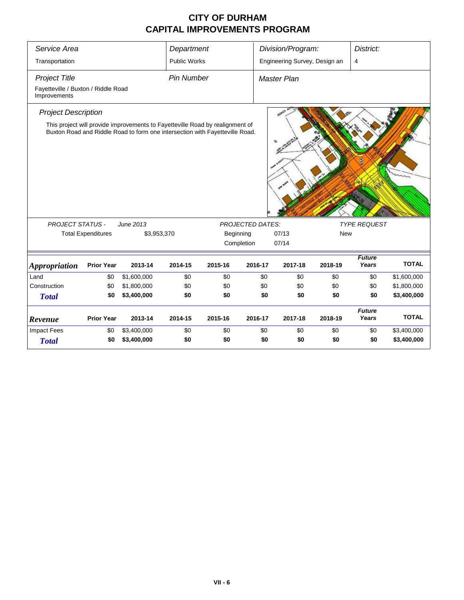| Service Area                                                |                           |                                                                                                                                                               | Department          |           |                         | Division/Program:             |            | District:              |              |
|-------------------------------------------------------------|---------------------------|---------------------------------------------------------------------------------------------------------------------------------------------------------------|---------------------|-----------|-------------------------|-------------------------------|------------|------------------------|--------------|
| Transportation                                              |                           |                                                                                                                                                               | <b>Public Works</b> |           |                         | Engineering Survey, Design an |            | 4                      |              |
| <b>Project Title</b><br>Fayetteville / Buxton / Riddle Road |                           |                                                                                                                                                               | <b>Pin Number</b>   |           |                         | <b>Master Plan</b>            |            |                        |              |
| Improvements                                                |                           |                                                                                                                                                               |                     |           |                         |                               |            |                        |              |
| <b>Project Description</b>                                  |                           |                                                                                                                                                               |                     |           |                         |                               |            |                        |              |
|                                                             |                           | This project will provide improvements to Fayetteville Road by realignment of<br>Buxton Road and Riddle Road to form one intersection with Fayetteville Road. |                     |           |                         |                               |            |                        |              |
| <b>PROJECT STATUS -</b>                                     |                           | June 2013                                                                                                                                                     |                     |           | <b>PROJECTED DATES:</b> |                               |            | <b>TYPE REQUEST</b>    |              |
|                                                             | <b>Total Expenditures</b> | \$3,953,370                                                                                                                                                   |                     | Beginning |                         | 07/13                         | <b>New</b> |                        |              |
|                                                             |                           |                                                                                                                                                               |                     |           | Completion              | 07/14                         |            |                        |              |
| <b>Appropriation</b>                                        | <b>Prior Year</b>         | 2013-14                                                                                                                                                       | 2014-15             | 2015-16   | 2016-17                 | 2017-18                       | 2018-19    | <b>Future</b><br>Years | <b>TOTAL</b> |
| Land                                                        | \$0                       | \$1,600,000                                                                                                                                                   | \$0                 | \$0       | \$0                     | \$0                           | \$0        | \$0                    | \$1,600,000  |
| Construction                                                | \$0                       | \$1,800,000                                                                                                                                                   | \$0                 | \$0       | \$0                     | \$0                           | \$0        | \$0                    | \$1,800,000  |
| <b>Total</b>                                                | \$0                       | \$3,400,000                                                                                                                                                   | \$0                 | \$0       | \$0                     | \$0                           | \$0        | \$0                    | \$3,400,000  |
| Revenue                                                     | <b>Prior Year</b>         | 2013-14                                                                                                                                                       | 2014-15             | 2015-16   | 2016-17                 | 2017-18                       | 2018-19    | <b>Future</b><br>Years | <b>TOTAL</b> |
| <b>Impact Fees</b>                                          | \$0                       | \$3,400,000                                                                                                                                                   | \$0                 | \$0       | \$0                     | \$0                           | \$0        | \$0                    | \$3,400,000  |
| <b>Total</b>                                                | \$0                       | \$3,400,000                                                                                                                                                   | \$0                 | \$0       | \$0                     | \$0                           | \$0        | \$0                    | \$3,400,000  |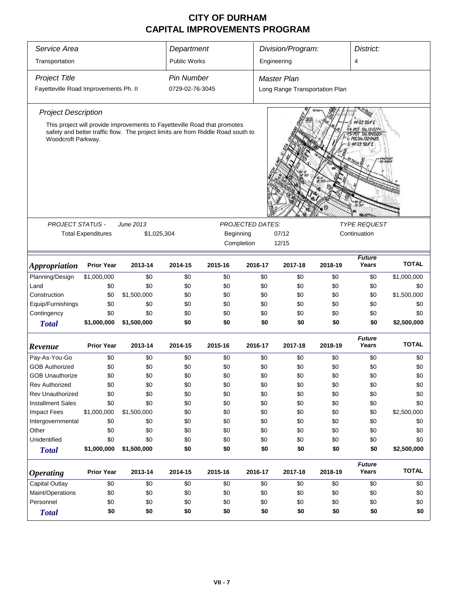| Service Area<br>Division/Program:<br>District:<br>Department                                                                                                                                                                |                                                                    |             |                     |                         |                         |                                |              |                        |              |  |  |
|-----------------------------------------------------------------------------------------------------------------------------------------------------------------------------------------------------------------------------|--------------------------------------------------------------------|-------------|---------------------|-------------------------|-------------------------|--------------------------------|--------------|------------------------|--------------|--|--|
| Transportation                                                                                                                                                                                                              |                                                                    |             | <b>Public Works</b> |                         |                         | Engineering                    |              | 4                      |              |  |  |
| <b>Project Title</b>                                                                                                                                                                                                        |                                                                    |             | <b>Pin Number</b>   |                         |                         | <b>Master Plan</b>             |              |                        |              |  |  |
| Fayetteville Road Improvements Ph. II                                                                                                                                                                                       |                                                                    |             | 0729-02-76-3045     |                         |                         | Long Range Transportation Plan |              |                        |              |  |  |
| <b>Project Description</b>                                                                                                                                                                                                  |                                                                    |             |                     |                         |                         |                                |              |                        |              |  |  |
| This project will provide improvements to Fayetteville Road that promotes<br>safety and better traffic flow. The project limits are from Riddle Road south to<br>Woodcroft Parkway.<br>ECC Sta. 132 O4.85<br>44 03' 50.4' E |                                                                    |             |                     |                         |                         |                                |              |                        |              |  |  |
| <b>PROJECT STATUS -</b>                                                                                                                                                                                                     |                                                                    | June 2013   |                     |                         | <b>PROJECTED DATES:</b> |                                |              | <b>TYPE REQUEST</b>    |              |  |  |
|                                                                                                                                                                                                                             | <b>Total Expenditures</b>                                          | \$1,025,304 |                     | Beginning<br>Completion |                         | 07/12<br>12/15                 | Continuation |                        |              |  |  |
| <b>Appropriation</b>                                                                                                                                                                                                        | <b>Prior Year</b>                                                  | 2013-14     | 2014-15             | 2015-16                 | 2016-17                 | 2017-18                        | 2018-19      | <b>Future</b><br>Years | <b>TOTAL</b> |  |  |
| Planning/Design                                                                                                                                                                                                             | \$1,000,000                                                        | \$0         | \$0                 | \$0                     | \$0                     | \$0                            | \$0          | \$0                    | \$1,000,000  |  |  |
| Land                                                                                                                                                                                                                        | \$0                                                                | \$0         | \$0                 | \$0                     | \$0                     | \$0                            | \$0          | \$0                    | \$0          |  |  |
| Construction                                                                                                                                                                                                                | \$0                                                                | \$1,500,000 | \$0                 | \$0                     | \$0                     | \$0                            | \$0          | \$0                    | \$1,500,000  |  |  |
| Equip/Furnishings                                                                                                                                                                                                           | \$0                                                                | \$0         | \$0                 | \$0                     | \$0                     | \$0                            | \$0          | \$0                    | \$0          |  |  |
| Contingency                                                                                                                                                                                                                 | \$0                                                                | \$0         | \$0                 | \$0                     | \$0                     | \$0                            | \$0          | \$0                    | \$0          |  |  |
| <b>Total</b>                                                                                                                                                                                                                | \$1,000,000                                                        | \$1,500,000 | \$0                 | \$0                     | \$0                     | \$0                            | \$0          | \$0                    | \$2,500,000  |  |  |
| Revenue                                                                                                                                                                                                                     | <b>Prior Year</b>                                                  | 2013-14     | 2014-15             | 2015-16                 | 2016-17                 | 2017-18                        | 2018-19      | <b>Future</b><br>Years | <b>TOTAL</b> |  |  |
| Pay-As-You-Go                                                                                                                                                                                                               | \$0                                                                | \$0         | \$0                 | \$0                     | \$0                     | \$0                            | \$0          | \$0                    | \$0          |  |  |
| <b>GOB Authorized</b>                                                                                                                                                                                                       | \$0                                                                | \$0         | \$0                 | \$0                     | \$0                     | \$0                            | \$0          | \$0                    | \$0          |  |  |
| <b>GOB Unauthorize</b>                                                                                                                                                                                                      | \$0                                                                | \$0         | \$0                 | \$0                     | \$0                     | \$0                            | \$0          | \$0                    | \$0          |  |  |
| <b>Rev Authorized</b>                                                                                                                                                                                                       | \$0                                                                | \$0         | \$0                 | \$0                     | \$0                     | \$0                            | \$0          | \$0                    | \$0          |  |  |
| <b>Rev Unauthorized</b>                                                                                                                                                                                                     | \$0                                                                | \$0         | \$0                 | \$0                     | \$0                     | \$0                            | \$0          | \$0                    | \$0          |  |  |
| <b>Installment Sales</b>                                                                                                                                                                                                    | \$0                                                                | \$0         | \$0                 | \$0                     | \$0                     | \$0                            | \$0          | \$0                    | \$0          |  |  |
| <b>Impact Fees</b>                                                                                                                                                                                                          | \$1,000,000                                                        | \$1,500,000 | \$0                 | \$0                     | \$0                     | \$0                            | \$0          | \$0                    | \$2,500,000  |  |  |
| Intergovernmental                                                                                                                                                                                                           | \$0                                                                | \$0         | \$0                 | \$0                     | \$0                     | \$0                            | \$0          | \$0                    | \$0          |  |  |
| Other                                                                                                                                                                                                                       | \$0                                                                | \$0         | \$0                 | \$0                     | \$0                     | \$0                            | \$0          | \$0                    | \$0          |  |  |
| Unidentified                                                                                                                                                                                                                | \$0                                                                | \$0         | \$0                 | \$0                     | \$0                     | \$0                            | \$0          | \$0                    | \$0          |  |  |
| <b>Total</b>                                                                                                                                                                                                                | \$1,000,000                                                        | \$1,500,000 | \$0                 | \$0                     | \$0                     | \$0                            | \$0          | \$0                    | \$2,500,000  |  |  |
| <b>Operating</b>                                                                                                                                                                                                            | <b>Prior Year</b>                                                  | 2013-14     | 2014-15             | 2015-16                 | 2016-17                 | 2017-18                        | 2018-19      | <b>Future</b><br>Years | <b>TOTAL</b> |  |  |
| Capital Outlay                                                                                                                                                                                                              | \$0                                                                | \$0         | \$0                 | \$0                     | \$0                     | \$0                            | \$0          | \$0                    | \$0          |  |  |
| Maint/Operations                                                                                                                                                                                                            | \$0                                                                | \$0         | \$0                 | \$0                     | \$0                     | \$0                            | \$0          | \$0                    | \$0          |  |  |
| Personnel                                                                                                                                                                                                                   | \$0                                                                | \$0         | \$0                 | \$0                     |                         | \$0                            | \$0          | \$0                    | \$0          |  |  |
| <b>Total</b>                                                                                                                                                                                                                | \$0<br>\$0<br>\$0<br>\$0<br>\$0<br>\$0<br>\$0<br>\$0<br>\$0<br>\$0 |             |                     |                         |                         |                                |              |                        |              |  |  |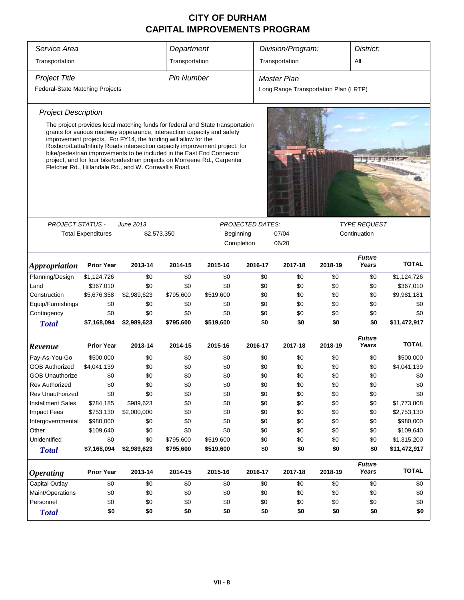| Service Area                    |                           |                                                                                                                                                                                                                                                                                                                                                                                                                                                                                                                           | Department        |           |                         |                    | Division/Program: |                                       | District:              |              |  |
|---------------------------------|---------------------------|---------------------------------------------------------------------------------------------------------------------------------------------------------------------------------------------------------------------------------------------------------------------------------------------------------------------------------------------------------------------------------------------------------------------------------------------------------------------------------------------------------------------------|-------------------|-----------|-------------------------|--------------------|-------------------|---------------------------------------|------------------------|--------------|--|
| Transportation                  |                           |                                                                                                                                                                                                                                                                                                                                                                                                                                                                                                                           | Transportation    |           |                         |                    | Transportation    |                                       | All                    |              |  |
| <b>Project Title</b>            |                           |                                                                                                                                                                                                                                                                                                                                                                                                                                                                                                                           | <b>Pin Number</b> |           |                         | <b>Master Plan</b> |                   |                                       |                        |              |  |
| Federal-State Matching Projects |                           |                                                                                                                                                                                                                                                                                                                                                                                                                                                                                                                           |                   |           |                         |                    |                   | Long Range Transportation Plan (LRTP) |                        |              |  |
| <b>Project Description</b>      |                           |                                                                                                                                                                                                                                                                                                                                                                                                                                                                                                                           |                   |           |                         |                    |                   |                                       |                        |              |  |
|                                 |                           | The project provides local matching funds for federal and State transportation<br>grants for various roadway appearance, intersection capacity and safety<br>improvement projects. For FY14, the funding will allow for the<br>Roxboro/Latta/Infinity Roads intersection capacity improvement project, for<br>bike/pedestrian improvements to be included in the East End Connector<br>project, and for four bike/pedestrian projects on Morreene Rd., Carpenter<br>Fletcher Rd., Hillandale Rd., and W. Cornwallis Road. |                   |           |                         |                    |                   |                                       |                        |              |  |
|                                 |                           |                                                                                                                                                                                                                                                                                                                                                                                                                                                                                                                           |                   |           |                         |                    |                   |                                       |                        |              |  |
| PROJECT STATUS -                |                           | <b>June 2013</b>                                                                                                                                                                                                                                                                                                                                                                                                                                                                                                          |                   |           | <b>PROJECTED DATES:</b> |                    |                   |                                       | <b>TYPE REQUEST</b>    |              |  |
|                                 | <b>Total Expenditures</b> | \$2,573,350                                                                                                                                                                                                                                                                                                                                                                                                                                                                                                               |                   | Beginning | Completion              |                    | 07/04<br>06/20    | Continuation                          |                        |              |  |
| <b>Appropriation</b>            | <b>Prior Year</b>         | 2013-14                                                                                                                                                                                                                                                                                                                                                                                                                                                                                                                   | 2014-15           | 2015-16   | 2016-17                 |                    | 2017-18           | 2018-19                               | <b>Future</b><br>Years | <b>TOTAL</b> |  |
| Planning/Design                 | \$1,124,726               | \$0                                                                                                                                                                                                                                                                                                                                                                                                                                                                                                                       | \$0               | \$0       |                         | \$0                | \$0               | \$0                                   | \$0                    | \$1,124,726  |  |
| Land                            | \$367,010                 | \$0                                                                                                                                                                                                                                                                                                                                                                                                                                                                                                                       | \$0               | \$0       |                         | \$0                | \$0               | \$0                                   | \$0                    | \$367,010    |  |
| Construction                    | \$5,676,358               | \$2,989,623                                                                                                                                                                                                                                                                                                                                                                                                                                                                                                               | \$795,600         | \$519,600 |                         | \$0                | \$0               | \$0                                   | \$0                    | \$9,981,181  |  |
| Equip/Furnishings               | \$0                       | \$0                                                                                                                                                                                                                                                                                                                                                                                                                                                                                                                       | \$0               | \$0       |                         | \$0                | \$0               | \$0                                   | \$0                    | \$0          |  |
| Contingency                     | \$0                       | \$0                                                                                                                                                                                                                                                                                                                                                                                                                                                                                                                       | \$0               | \$0       |                         | \$0                | \$0               | \$0                                   | \$0                    | \$0          |  |
| <b>Total</b>                    | \$7,168,094               | \$2,989,623                                                                                                                                                                                                                                                                                                                                                                                                                                                                                                               | \$795,600         | \$519,600 |                         | \$0                | \$0               | \$0                                   | \$0                    | \$11,472,917 |  |
| Revenue                         | <b>Prior Year</b>         | 2013-14                                                                                                                                                                                                                                                                                                                                                                                                                                                                                                                   | 2014-15           | 2015-16   | 2016-17                 |                    | 2017-18           | 2018-19                               | <b>Future</b><br>Years | <b>TOTAL</b> |  |
| Pay-As-You-Go                   | \$500,000                 | \$0                                                                                                                                                                                                                                                                                                                                                                                                                                                                                                                       | \$0               | \$0       |                         | \$0                | \$0               | \$0                                   | \$0                    | \$500,000    |  |
| <b>GOB Authorized</b>           | \$4,041,139               | \$0                                                                                                                                                                                                                                                                                                                                                                                                                                                                                                                       | \$0               | \$0       |                         | \$0                | \$0               | \$0                                   | \$0                    | \$4,041,139  |  |
| <b>GOB Unauthorize</b>          | \$0                       | \$0                                                                                                                                                                                                                                                                                                                                                                                                                                                                                                                       | \$0               | \$0       |                         | \$0                | \$0               | \$0                                   | \$0                    | \$0          |  |
| <b>Rev Authorized</b>           | \$0                       | \$0                                                                                                                                                                                                                                                                                                                                                                                                                                                                                                                       | \$0               | \$0       |                         | \$0                | \$0               | \$0                                   | \$0                    | \$0          |  |
| <b>Rev Unauthorized</b>         | \$0                       | \$0                                                                                                                                                                                                                                                                                                                                                                                                                                                                                                                       | \$0               | \$0       |                         | \$0                | \$0               | \$0                                   | \$0                    | \$0          |  |
| <b>Installment Sales</b>        | \$784,185                 | \$989,623                                                                                                                                                                                                                                                                                                                                                                                                                                                                                                                 | \$0               | \$0       |                         | \$0                | \$0               | \$0                                   | \$0                    | \$1,773,808  |  |
| <b>Impact Fees</b>              | \$753,130                 | \$2,000,000                                                                                                                                                                                                                                                                                                                                                                                                                                                                                                               | \$0               | \$0       |                         | \$0                | \$0               | \$0                                   | \$0                    | \$2,753,130  |  |
| Intergovernmental               | \$980,000                 | \$0                                                                                                                                                                                                                                                                                                                                                                                                                                                                                                                       | \$0               | \$0       |                         | \$0                | \$0               | \$0                                   | \$0                    | \$980,000    |  |
| Other                           | \$109,640                 | \$0                                                                                                                                                                                                                                                                                                                                                                                                                                                                                                                       | \$0               | \$0       |                         | \$0                | \$0               | \$0                                   | \$0                    | \$109,640    |  |
| Unidentified                    | \$0                       | \$0                                                                                                                                                                                                                                                                                                                                                                                                                                                                                                                       | \$795,600         | \$519,600 |                         | \$0                | \$0               | \$0                                   | \$0                    | \$1,315,200  |  |
| <b>Total</b>                    | \$7,168,094               | \$2,989,623                                                                                                                                                                                                                                                                                                                                                                                                                                                                                                               | \$795,600         | \$519,600 |                         | \$0                | \$0               | \$0                                   | \$0                    | \$11,472,917 |  |
| <b>Operating</b>                | <b>Prior Year</b>         | 2013-14                                                                                                                                                                                                                                                                                                                                                                                                                                                                                                                   | 2014-15           | 2015-16   | 2016-17                 |                    | 2017-18           | 2018-19                               | <b>Future</b><br>Years | <b>TOTAL</b> |  |
| Capital Outlay                  | \$0                       | \$0                                                                                                                                                                                                                                                                                                                                                                                                                                                                                                                       | \$0               | \$0       |                         | \$0                | \$0               | \$0                                   | \$0                    | \$0          |  |
| Maint/Operations                | \$0                       | \$0                                                                                                                                                                                                                                                                                                                                                                                                                                                                                                                       | \$0               | \$0       |                         | \$0                | \$0               | \$0                                   | \$0                    | \$0          |  |
| Personnel                       | \$0                       | \$0                                                                                                                                                                                                                                                                                                                                                                                                                                                                                                                       | \$0               | \$0       |                         | \$0                | \$0               | \$0                                   | \$0                    | \$0          |  |
| <b>Total</b>                    | \$0                       | \$0                                                                                                                                                                                                                                                                                                                                                                                                                                                                                                                       | \$0               | \$0       |                         | \$0                | \$0               | \$0                                   | \$0                    | \$0          |  |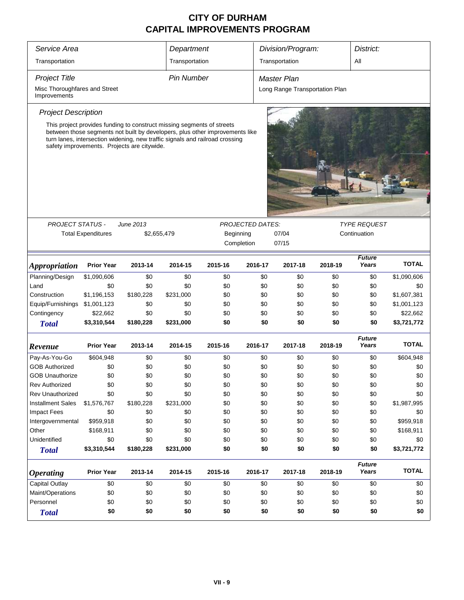| Service Area                                  |                                                                                                                                                                                                                                                                                       |             | Department        |                                                           |                         | Division/Program:              |         | District:              |              |  |  |  |
|-----------------------------------------------|---------------------------------------------------------------------------------------------------------------------------------------------------------------------------------------------------------------------------------------------------------------------------------------|-------------|-------------------|-----------------------------------------------------------|-------------------------|--------------------------------|---------|------------------------|--------------|--|--|--|
| Transportation                                |                                                                                                                                                                                                                                                                                       |             | Transportation    |                                                           |                         | Transportation                 |         | All                    |              |  |  |  |
| <b>Project Title</b>                          |                                                                                                                                                                                                                                                                                       |             | <b>Pin Number</b> |                                                           |                         | Master Plan                    |         |                        |              |  |  |  |
| Misc Thoroughfares and Street<br>Improvements |                                                                                                                                                                                                                                                                                       |             |                   |                                                           |                         | Long Range Transportation Plan |         |                        |              |  |  |  |
| <b>Project Description</b>                    |                                                                                                                                                                                                                                                                                       |             |                   |                                                           |                         |                                |         |                        |              |  |  |  |
|                                               | This project provides funding to construct missing segments of streets<br>between those segments not built by developers, plus other improvements like<br>turn lanes, intersection widening, new traffic signals and railroad crossing<br>safety improvements. Projects are citywide. |             |                   |                                                           |                         |                                |         |                        |              |  |  |  |
| <b>PROJECT STATUS -</b>                       |                                                                                                                                                                                                                                                                                       | June 2013   |                   |                                                           | <b>PROJECTED DATES:</b> |                                |         | <b>TYPE REQUEST</b>    |              |  |  |  |
|                                               | <b>Total Expenditures</b>                                                                                                                                                                                                                                                             | \$2,655,479 |                   | Beginning<br>07/04<br>Continuation<br>07/15<br>Completion |                         |                                |         |                        |              |  |  |  |
| <i><b>Appropriation</b></i>                   | <b>Prior Year</b>                                                                                                                                                                                                                                                                     | 2013-14     | 2014-15           | 2015-16                                                   | 2016-17                 | 2017-18                        | 2018-19 | <b>Future</b><br>Years | <b>TOTAL</b> |  |  |  |
| Planning/Design                               | \$1,090,606                                                                                                                                                                                                                                                                           | \$0         | \$0               | \$0                                                       | \$0                     | \$0                            | \$0     | \$0                    | \$1,090,606  |  |  |  |
| Land                                          | \$0                                                                                                                                                                                                                                                                                   | \$0         | \$0               | \$0                                                       |                         | \$0<br>\$0                     | \$0     | \$0                    | \$0          |  |  |  |
| Construction                                  | \$1,196,153                                                                                                                                                                                                                                                                           | \$180,228   | \$231,000         | \$0                                                       |                         | \$0<br>\$0                     | \$0     | \$0                    | \$1,607,381  |  |  |  |
| Equip/Furnishings                             | \$1,001,123                                                                                                                                                                                                                                                                           | \$0         | \$0               | \$0                                                       |                         | \$0<br>\$0                     | \$0     | \$0                    | \$1,001,123  |  |  |  |
| Contingency                                   | \$22,662                                                                                                                                                                                                                                                                              | \$0         | \$0               | \$0                                                       |                         | \$0<br>\$0                     | \$0     | \$0                    | \$22,662     |  |  |  |
| <b>Total</b>                                  | \$3,310,544                                                                                                                                                                                                                                                                           | \$180,228   | \$231,000         | \$0                                                       |                         | \$0<br>\$0                     | \$0     | \$0                    | \$3,721,772  |  |  |  |
| Revenue                                       | <b>Prior Year</b>                                                                                                                                                                                                                                                                     | 2013-14     | 2014-15           | 2015-16                                                   | 2016-17                 | 2017-18                        | 2018-19 | <b>Future</b><br>Years | <b>TOTAL</b> |  |  |  |
| Pay-As-You-Go                                 | \$604,948                                                                                                                                                                                                                                                                             | \$0         | \$0               | \$0                                                       | \$0                     | \$0                            | \$0     | \$0                    | \$604,948    |  |  |  |
| <b>GOB Authorized</b>                         | \$0                                                                                                                                                                                                                                                                                   | \$0         | \$0               | \$0                                                       |                         | \$0<br>\$0                     | \$0     | \$0                    | \$0          |  |  |  |
| <b>GOB Unauthorize</b>                        | \$0                                                                                                                                                                                                                                                                                   | \$0         | \$0               | \$0                                                       |                         | \$0<br>\$0                     | \$0     | \$0                    | \$0          |  |  |  |
| <b>Rev Authorized</b>                         | \$0                                                                                                                                                                                                                                                                                   | \$0         | \$0               | \$0                                                       | \$0                     | \$0                            | \$0     | \$0                    | \$0          |  |  |  |
| <b>Rev Unauthorized</b>                       | \$0                                                                                                                                                                                                                                                                                   | \$0         | \$0               | \$0                                                       | \$0                     | \$0                            | \$0     | \$0                    | \$0          |  |  |  |
| <b>Installment Sales</b>                      | \$1,576,767                                                                                                                                                                                                                                                                           | \$180,228   | \$231,000         | \$0                                                       | \$0                     | \$0                            | \$0     | \$0                    | \$1,987,995  |  |  |  |
| <b>Impact Fees</b>                            | \$0                                                                                                                                                                                                                                                                                   | \$0         | \$0               | \$0                                                       | \$0                     | \$0                            | \$0     | \$0                    | \$0          |  |  |  |
| Intergovernmental                             | \$959,918                                                                                                                                                                                                                                                                             | \$0         | \$0               | \$0                                                       | \$0                     | \$0                            | \$0     | \$0                    | \$959,918    |  |  |  |
| Other                                         | \$168,911                                                                                                                                                                                                                                                                             | \$0         | \$0               | \$0                                                       | \$0                     | \$0                            | \$0     | \$0                    | \$168,911    |  |  |  |
| Unidentified                                  | \$0                                                                                                                                                                                                                                                                                   | \$0         | \$0               | \$0                                                       | \$0                     | \$0                            | \$0     | \$0                    | \$0          |  |  |  |
| <b>Total</b>                                  | \$3,310,544                                                                                                                                                                                                                                                                           | \$180,228   | \$231,000         | \$0                                                       |                         | \$0<br>\$0                     | \$0     | \$0                    | \$3,721,772  |  |  |  |
|                                               | <b>Prior Year</b>                                                                                                                                                                                                                                                                     | 2013-14     | 2014-15           | 2015-16                                                   | 2016-17                 | 2017-18                        | 2018-19 | <b>Future</b><br>Years | <b>TOTAL</b> |  |  |  |
| <b>Operating</b>                              |                                                                                                                                                                                                                                                                                       |             |                   |                                                           |                         |                                |         |                        |              |  |  |  |
| <b>Capital Outlay</b>                         | \$0                                                                                                                                                                                                                                                                                   | \$0         | \$0               | \$0                                                       | \$0                     | \$0                            | \$0     | \$0                    | \$0          |  |  |  |
| Maint/Operations                              | \$0                                                                                                                                                                                                                                                                                   | \$0         | \$0               | \$0                                                       | \$0                     | \$0                            | \$0     | \$0                    | \$0          |  |  |  |
| Personnel                                     | \$0                                                                                                                                                                                                                                                                                   | \$0         | \$0               | \$0                                                       | \$0                     | \$0                            | \$0     | \$0                    | \$0          |  |  |  |
| <b>Total</b>                                  | \$0                                                                                                                                                                                                                                                                                   | \$0         | \$0               | \$0                                                       |                         | \$0<br>\$0                     | \$0     | \$0                    | \$0          |  |  |  |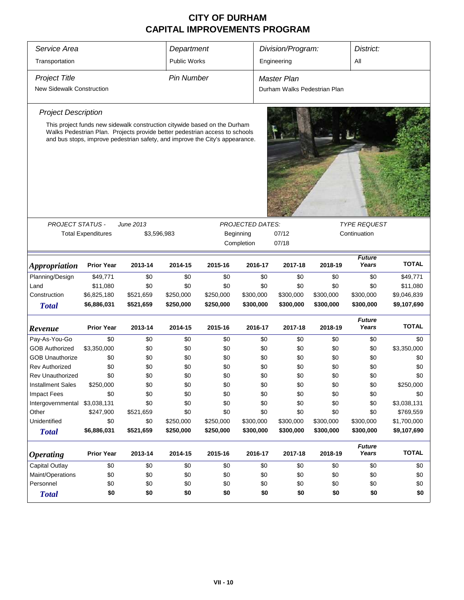| Service Area                     |                           |                                                                                                                                                             | Department        |           |                         | Division/Program:            |               | District:           |              |  |  |
|----------------------------------|---------------------------|-------------------------------------------------------------------------------------------------------------------------------------------------------------|-------------------|-----------|-------------------------|------------------------------|---------------|---------------------|--------------|--|--|
| Transportation                   |                           |                                                                                                                                                             | Public Works      |           |                         | Engineering                  |               | All                 |              |  |  |
|                                  |                           |                                                                                                                                                             |                   |           |                         |                              |               |                     |              |  |  |
| <b>Project Title</b>             |                           |                                                                                                                                                             | <b>Pin Number</b> |           |                         | <b>Master Plan</b>           |               |                     |              |  |  |
| <b>New Sidewalk Construction</b> |                           |                                                                                                                                                             |                   |           |                         | Durham Walks Pedestrian Plan |               |                     |              |  |  |
|                                  |                           |                                                                                                                                                             |                   |           |                         |                              |               |                     |              |  |  |
| <b>Project Description</b>       |                           |                                                                                                                                                             |                   |           |                         |                              |               |                     |              |  |  |
|                                  |                           | This project funds new sidewalk construction citywide based on the Durham                                                                                   |                   |           |                         |                              |               |                     |              |  |  |
|                                  |                           | Walks Pedestrian Plan. Projects provide better pedestrian access to schools<br>and bus stops, improve pedestrian safety, and improve the City's appearance. |                   |           |                         |                              |               |                     |              |  |  |
|                                  |                           |                                                                                                                                                             |                   |           |                         |                              |               |                     |              |  |  |
|                                  |                           |                                                                                                                                                             |                   |           |                         |                              |               |                     |              |  |  |
|                                  |                           |                                                                                                                                                             |                   |           |                         |                              |               |                     |              |  |  |
|                                  |                           |                                                                                                                                                             |                   |           |                         |                              |               |                     |              |  |  |
|                                  |                           |                                                                                                                                                             |                   |           |                         |                              |               |                     |              |  |  |
|                                  |                           |                                                                                                                                                             |                   |           |                         |                              |               |                     |              |  |  |
|                                  |                           |                                                                                                                                                             |                   |           |                         |                              |               |                     |              |  |  |
|                                  |                           |                                                                                                                                                             |                   |           |                         |                              |               |                     |              |  |  |
| PROJECT STATUS -                 |                           | June 2013                                                                                                                                                   |                   |           | <b>PROJECTED DATES:</b> |                              |               | <b>TYPE REQUEST</b> |              |  |  |
|                                  | <b>Total Expenditures</b> | \$3,596,983                                                                                                                                                 |                   |           | Beginning               | 07/12                        | Continuation  |                     |              |  |  |
|                                  |                           |                                                                                                                                                             |                   |           | Completion              | 07/18                        |               |                     |              |  |  |
|                                  |                           |                                                                                                                                                             |                   |           |                         |                              |               | <b>Future</b>       |              |  |  |
| <b>Appropriation</b>             | <b>Prior Year</b>         | 2013-14                                                                                                                                                     | 2014-15           | 2015-16   | 2016-17                 | 2017-18                      | 2018-19       | Years               | <b>TOTAL</b> |  |  |
| Planning/Design                  | \$49,771                  | \$0                                                                                                                                                         | \$0               | \$0       | \$0                     | \$0                          | \$0           | \$0                 | \$49,771     |  |  |
| Land                             | \$11,080                  | \$0                                                                                                                                                         | \$0               | \$0       | \$0                     | \$0                          | \$0           | \$0                 | \$11,080     |  |  |
| Construction                     | \$6,825,180               | \$521,659                                                                                                                                                   | \$250,000         | \$250,000 | \$300,000               | \$300,000                    | \$300,000     | \$300,000           | \$9,046,839  |  |  |
| <b>Total</b>                     | \$6,886,031               | \$521,659                                                                                                                                                   | \$250,000         | \$250,000 | \$300,000               | \$300,000                    | \$300,000     | \$300,000           | \$9,107,690  |  |  |
|                                  |                           |                                                                                                                                                             |                   |           |                         |                              |               | <b>Future</b>       |              |  |  |
| Revenue                          | <b>Prior Year</b>         | 2013-14                                                                                                                                                     | 2014-15           | 2015-16   | 2016-17                 | 2017-18                      | 2018-19       | Years               | <b>TOTAL</b> |  |  |
| Pay-As-You-Go                    | \$0                       | \$0                                                                                                                                                         | \$0               | \$0       | \$0                     | \$0                          | \$0           | \$0                 | \$0          |  |  |
| <b>GOB Authorized</b>            | \$3,350,000               | \$0                                                                                                                                                         | \$0               | \$0       | \$0                     | \$0                          | \$0           | \$0                 | \$3,350,000  |  |  |
| <b>GOB Unauthorize</b>           | \$0                       | \$0                                                                                                                                                         | \$0               | \$0       | \$0                     | \$0                          | \$0           | \$0                 | \$0          |  |  |
| <b>Rev Authorized</b>            | \$0                       | \$0                                                                                                                                                         | \$0               | \$0       | \$0                     | \$0                          | \$0           | \$0                 | \$0          |  |  |
| Rev Unauthorized                 | \$0                       | \$0                                                                                                                                                         | \$0               | \$0       | \$0                     | \$0                          | \$0           | \$0                 | \$0          |  |  |
| <b>Installment Sales</b>         | \$250,000                 | \$0                                                                                                                                                         | \$0               | \$0       | \$0                     | \$0                          | \$0           | \$0                 | \$250,000    |  |  |
| Impact Fees                      | \$0                       | \$0                                                                                                                                                         | \$0               | \$0       | \$0                     | \$0                          | \$0           | \$0                 | \$0          |  |  |
| Intergovernmental                | \$3,038,131               | \$0                                                                                                                                                         | \$0               | \$0       | \$0                     | \$0                          | \$0           | \$0                 | \$3,038,131  |  |  |
| Other                            | \$247,900                 | \$521,659                                                                                                                                                   | \$0               | \$0       | \$0                     | \$0                          | \$0           | \$0                 | \$769,559    |  |  |
| Unidentified                     | \$0                       | \$0                                                                                                                                                         | \$250,000         | \$250,000 | \$300,000               | \$300,000                    | \$300,000     | \$300,000           | \$1,700,000  |  |  |
| <b>Total</b>                     | \$6,886,031               | \$521,659                                                                                                                                                   | \$250,000         | \$250,000 | \$300,000               | \$300,000                    | \$300,000     | \$300,000           | \$9,107,690  |  |  |
|                                  |                           |                                                                                                                                                             |                   |           |                         |                              | <b>Future</b> | <b>TOTAL</b>        |              |  |  |
| <b>Operating</b>                 | <b>Prior Year</b>         | 2013-14                                                                                                                                                     | 2014-15           | 2015-16   | 2016-17                 | 2017-18                      | 2018-19       | Years               |              |  |  |
| <b>Capital Outlay</b>            | \$0                       | \$0                                                                                                                                                         | \$0               | \$0       | \$0                     | \$0                          | \$0           | \$0                 | \$0          |  |  |
| Maint/Operations                 | \$0                       | \$0                                                                                                                                                         | \$0               | \$0       | \$0                     | \$0                          | \$0           | \$0                 | \$0          |  |  |
| Personnel                        | \$0                       | \$0                                                                                                                                                         | \$0               | \$0       | \$0                     | \$0                          | \$0           | \$0                 | \$0          |  |  |
| <b>Total</b>                     | \$0                       | \$0                                                                                                                                                         | \$0               | \$0       | \$0                     | \$0                          | \$0           | \$0                 | \$0          |  |  |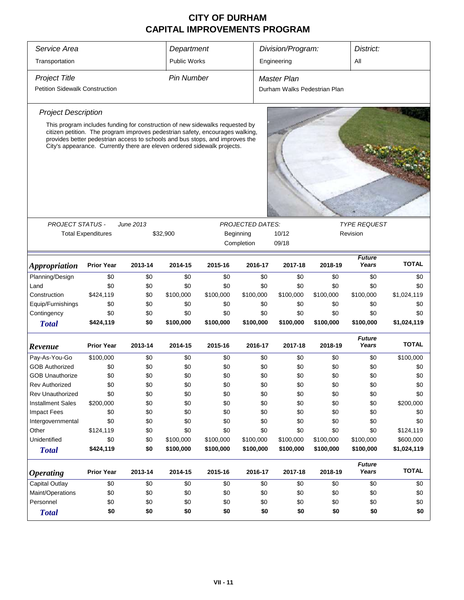| Service Area                                                                                                                                                                                                                              |                                                                              |           | Department          |           |                         |     | Division/Program:            |           | District:              |              |  |
|-------------------------------------------------------------------------------------------------------------------------------------------------------------------------------------------------------------------------------------------|------------------------------------------------------------------------------|-----------|---------------------|-----------|-------------------------|-----|------------------------------|-----------|------------------------|--------------|--|
| Transportation                                                                                                                                                                                                                            |                                                                              |           | <b>Public Works</b> |           |                         |     | Engineering                  |           | All                    |              |  |
| <b>Project Title</b>                                                                                                                                                                                                                      |                                                                              |           | <b>Pin Number</b>   |           |                         |     | Master Plan                  |           |                        |              |  |
| <b>Petition Sidewalk Construction</b>                                                                                                                                                                                                     |                                                                              |           |                     |           |                         |     | Durham Walks Pedestrian Plan |           |                        |              |  |
| <b>Project Description</b>                                                                                                                                                                                                                |                                                                              |           |                     |           |                         |     |                              |           |                        |              |  |
|                                                                                                                                                                                                                                           | This program includes funding for construction of new sidewalks requested by |           |                     |           |                         |     |                              |           |                        |              |  |
| citizen petition. The program improves pedestrian safety, encourages walking,<br>provides better pedestrian access to schools and bus stops, and improves the<br>City's appearance. Currently there are eleven ordered sidewalk projects. |                                                                              |           |                     |           |                         |     |                              |           |                        |              |  |
|                                                                                                                                                                                                                                           |                                                                              |           |                     |           |                         |     |                              |           |                        |              |  |
| <b>PROJECT STATUS -</b>                                                                                                                                                                                                                   |                                                                              | June 2013 |                     |           | <b>PROJECTED DATES:</b> |     |                              |           | <b>TYPE REQUEST</b>    |              |  |
|                                                                                                                                                                                                                                           | <b>Total Expenditures</b>                                                    |           | \$32,900            |           | Beginning               |     | 10/12<br>09/18               |           | Revision               |              |  |
|                                                                                                                                                                                                                                           |                                                                              |           |                     |           | Completion              |     |                              |           |                        |              |  |
| <i><b>Appropriation</b></i>                                                                                                                                                                                                               | <b>Prior Year</b>                                                            | 2013-14   | 2014-15             | 2015-16   | 2016-17                 |     | 2017-18                      | 2018-19   | <b>Future</b><br>Years | <b>TOTAL</b> |  |
| Planning/Design                                                                                                                                                                                                                           | \$0                                                                          | \$0       | \$0                 | \$0       |                         | \$0 | \$0                          | \$0       | \$0                    | \$0          |  |
| Land                                                                                                                                                                                                                                      | \$0                                                                          | \$0       | \$0                 | \$0       |                         | \$0 | \$0                          | \$0       | \$0                    | \$0          |  |
| Construction                                                                                                                                                                                                                              | \$424,119                                                                    | \$0       | \$100,000           | \$100,000 | \$100,000               |     | \$100,000                    | \$100,000 | \$100,000              | \$1,024,119  |  |
| Equip/Furnishings                                                                                                                                                                                                                         | \$0                                                                          | \$0       | \$0                 | \$0       |                         | \$0 | \$0                          | \$0       | \$0                    | \$0          |  |
| Contingency                                                                                                                                                                                                                               | \$0                                                                          | \$0       | \$0                 | \$0       |                         | \$0 | \$0                          | \$0       | \$0                    | \$0          |  |
| <b>Total</b>                                                                                                                                                                                                                              | \$424,119                                                                    | \$0       | \$100,000           | \$100,000 | \$100,000               |     | \$100,000                    | \$100,000 | \$100,000              | \$1,024,119  |  |
| Revenue                                                                                                                                                                                                                                   | <b>Prior Year</b>                                                            | 2013-14   | 2014-15             | 2015-16   | 2016-17                 |     | 2017-18                      | 2018-19   | <b>Future</b><br>Years | <b>TOTAL</b> |  |
| Pay-As-You-Go                                                                                                                                                                                                                             | \$100,000                                                                    | \$0       | \$0                 | \$0       |                         | \$0 | \$0                          | \$0       | \$0                    | \$100,000    |  |
| <b>GOB Authorized</b>                                                                                                                                                                                                                     | \$0                                                                          | \$0       | \$0                 | \$0       |                         | \$0 | \$0                          | \$0       | \$0                    | \$0          |  |
| <b>GOB Unauthorize</b>                                                                                                                                                                                                                    | \$0                                                                          | \$0       | \$0                 | \$0       |                         | \$0 | \$0                          | \$0       | \$0                    | \$0          |  |
| Rev Authorized                                                                                                                                                                                                                            | \$0                                                                          | \$0       | \$0                 | \$0       |                         | \$0 | \$0                          | \$0       | \$0                    | \$0          |  |
| Rev Unauthorized                                                                                                                                                                                                                          | \$0                                                                          | \$0       | \$0                 | \$0       |                         | \$0 | \$0                          | \$0       | \$0                    | \$0          |  |
| <b>Installment Sales</b>                                                                                                                                                                                                                  | \$200,000                                                                    | \$0       | \$0                 | \$0       |                         | \$0 | \$0                          | \$0       | \$0                    | \$200,000    |  |
| <b>Impact Fees</b>                                                                                                                                                                                                                        | \$0                                                                          | \$0       | \$0                 | \$0       |                         | \$0 | \$0                          | \$0       | \$0                    | \$0          |  |
| Intergovernmental                                                                                                                                                                                                                         | \$0                                                                          | \$0       | \$0                 | \$0       |                         | \$0 | \$0                          | \$0       | \$0                    | \$0          |  |
| Other                                                                                                                                                                                                                                     | \$124,119                                                                    | \$0       | \$0                 | \$0       |                         | \$0 | \$0                          | \$0       | \$0                    | \$124,119    |  |
| Unidentified                                                                                                                                                                                                                              | \$0                                                                          | \$0       | \$100,000           | \$100,000 | \$100,000               |     | \$100,000                    | \$100,000 | \$100,000              | \$600,000    |  |
| <b>Total</b>                                                                                                                                                                                                                              | \$424,119                                                                    | \$0       | \$100,000           | \$100,000 | \$100,000               |     | \$100,000                    | \$100,000 | \$100,000              | \$1,024,119  |  |
| <i><b>Operating</b></i>                                                                                                                                                                                                                   | <b>Prior Year</b>                                                            | 2013-14   | 2014-15             | 2015-16   | 2016-17                 |     | 2017-18                      | 2018-19   | <b>Future</b><br>Years | <b>TOTAL</b> |  |
| <b>Capital Outlay</b>                                                                                                                                                                                                                     | \$0                                                                          | \$0       | \$0                 | \$0       |                         | \$0 | \$0                          | \$0       | \$0                    | \$0          |  |
| Maint/Operations                                                                                                                                                                                                                          | \$0                                                                          | \$0       | \$0                 | \$0       |                         | \$0 | \$0                          | \$0       | \$0                    | \$0          |  |
| Personnel                                                                                                                                                                                                                                 | \$0                                                                          | \$0       | \$0                 | \$0       |                         | \$0 | \$0                          | \$0       | \$0                    | \$0          |  |
| <b>Total</b>                                                                                                                                                                                                                              | \$0                                                                          | \$0       | \$0                 | \$0       |                         | \$0 | \$0                          | \$0       | \$0                    | \$0          |  |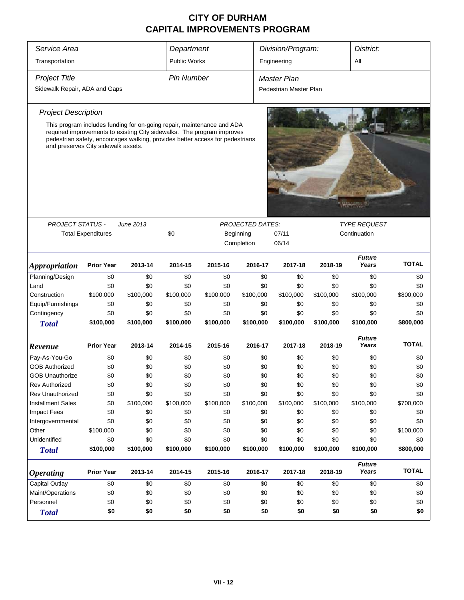| Service Area                                                      |                                     |                                                                                                                                                                                                                                   | Department                                         |                        |                    | Division/Program:  |                                     |           | District:              |              |
|-------------------------------------------------------------------|-------------------------------------|-----------------------------------------------------------------------------------------------------------------------------------------------------------------------------------------------------------------------------------|----------------------------------------------------|------------------------|--------------------|--------------------|-------------------------------------|-----------|------------------------|--------------|
| Transportation                                                    |                                     |                                                                                                                                                                                                                                   | Public Works                                       |                        |                    | All<br>Engineering |                                     |           |                        |              |
| <b>Project Title</b>                                              |                                     | <b>Pin Number</b>                                                                                                                                                                                                                 |                                                    |                        | <b>Master Plan</b> |                    |                                     |           |                        |              |
| Sidewalk Repair, ADA and Gaps                                     |                                     |                                                                                                                                                                                                                                   |                                                    | Pedestrian Master Plan |                    |                    |                                     |           |                        |              |
| <b>Project Description</b>                                        |                                     |                                                                                                                                                                                                                                   |                                                    |                        |                    |                    |                                     |           |                        |              |
|                                                                   | and preserves City sidewalk assets. | This program includes funding for on-going repair, maintenance and ADA<br>required improvements to existing City sidewalks. The program improves<br>pedestrian safety, encourages walking, provides better access for pedestrians |                                                    |                        |                    |                    |                                     |           |                        |              |
|                                                                   |                                     |                                                                                                                                                                                                                                   |                                                    |                        |                    |                    |                                     |           |                        |              |
| <b>PROJECT STATUS -</b><br>June 2013<br><b>Total Expenditures</b> |                                     | \$0                                                                                                                                                                                                                               | <b>PROJECTED DATES:</b><br>Beginning<br>Completion |                        | 07/11<br>06/14     |                    | <b>TYPE REQUEST</b><br>Continuation |           |                        |              |
| <i><b>Appropriation</b></i>                                       | <b>Prior Year</b>                   | 2013-14                                                                                                                                                                                                                           | 2014-15                                            | 2015-16                | 2016-17            |                    | 2017-18                             | 2018-19   | <b>Future</b><br>Years | <b>TOTAL</b> |
| Planning/Design                                                   | \$0                                 | \$0                                                                                                                                                                                                                               | \$0                                                | \$0                    |                    | \$0                | \$0                                 | \$0       | \$0                    | \$0          |
| Land                                                              | \$0                                 | \$0                                                                                                                                                                                                                               | \$0                                                | \$0                    |                    | \$0                | \$0                                 | \$0       | \$0                    | \$0          |
| Construction                                                      | \$100,000                           | \$100,000                                                                                                                                                                                                                         | \$100,000                                          | \$100,000              | \$100,000          |                    | \$100,000                           | \$100,000 | \$100,000              | \$800,000    |
| Equip/Furnishings                                                 | \$0                                 | \$0                                                                                                                                                                                                                               | \$0                                                | \$0                    |                    | \$0                | \$0                                 | \$0       | \$0                    | \$0          |
| Contingency                                                       | \$0                                 | \$0                                                                                                                                                                                                                               | \$0                                                | \$0                    |                    | \$0                | \$0                                 | \$0       | \$0                    | \$0          |
| <b>Total</b>                                                      | \$100,000                           | \$100,000                                                                                                                                                                                                                         | \$100,000                                          | \$100,000              | \$100,000          |                    | \$100,000                           | \$100,000 | \$100,000              | \$800,000    |
| Revenue                                                           | <b>Prior Year</b>                   | 2013-14                                                                                                                                                                                                                           | 2014-15                                            | 2015-16                | 2016-17            |                    | 2017-18                             | 2018-19   | <b>Future</b><br>Years | <b>TOTAL</b> |
| Pay-As-You-Go                                                     | \$0                                 | \$0                                                                                                                                                                                                                               | \$0                                                | \$0                    |                    | \$0                | \$0                                 | \$0       | \$0                    | \$0          |
| <b>GOB Authorized</b>                                             | \$0                                 | \$0                                                                                                                                                                                                                               | \$0                                                | \$0                    |                    | \$0                | \$0                                 | \$0       | \$0                    | \$0          |
| <b>GOB Unauthorize</b>                                            | \$0                                 | \$0                                                                                                                                                                                                                               | \$0                                                | \$0                    |                    | \$0                | \$0                                 | \$0       | \$0                    | \$0          |
| <b>Rev Authorized</b>                                             | \$0                                 | \$0                                                                                                                                                                                                                               | \$0                                                | \$0                    |                    | \$0                | \$0                                 | \$0       | \$0                    | \$0          |
| Rev Unauthorized                                                  | \$0                                 | \$0                                                                                                                                                                                                                               | \$0                                                | \$0                    |                    | \$0                | \$0                                 | \$0       | \$0                    | \$0          |
| <b>Installment Sales</b>                                          | \$0                                 | \$100,000                                                                                                                                                                                                                         | \$100,000                                          | \$100,000              | \$100,000          |                    | \$100,000                           | \$100,000 | \$100,000              | \$700,000    |
| <b>Impact Fees</b>                                                | \$0                                 | \$0                                                                                                                                                                                                                               | \$0                                                | \$0                    |                    | \$0                | \$0                                 | \$0       | \$0                    | \$0          |
| Intergovernmental                                                 | \$0                                 | \$0                                                                                                                                                                                                                               | \$0                                                | \$0                    |                    | \$0                | \$0                                 | \$0       | \$0                    | \$0          |
| Other                                                             | \$100,000                           | \$0                                                                                                                                                                                                                               | \$0                                                | \$0                    |                    | \$0                | \$0                                 | \$0       | \$0                    | \$100,000    |
| Unidentified                                                      | \$0                                 | \$0                                                                                                                                                                                                                               | \$0                                                | \$0                    |                    | \$0                | \$0                                 | \$0       | \$0                    | \$0          |
| <b>Total</b>                                                      | \$100,000                           | \$100,000                                                                                                                                                                                                                         | \$100,000                                          | \$100,000              | \$100,000          |                    | \$100,000                           | \$100,000 | \$100,000              | \$800,000    |
| <b>Operating</b>                                                  | <b>Prior Year</b>                   | 2013-14                                                                                                                                                                                                                           | 2014-15                                            | 2015-16                | 2016-17            |                    | 2017-18                             | 2018-19   | <b>Future</b><br>Years | <b>TOTAL</b> |
| <b>Capital Outlay</b>                                             | \$0                                 | \$0                                                                                                                                                                                                                               | \$0                                                | \$0                    |                    | \$0                | \$0                                 | \$0       | \$0                    | \$0          |
| Maint/Operations                                                  | \$0                                 | \$0                                                                                                                                                                                                                               | \$0                                                | \$0                    |                    | \$0                | \$0                                 | \$0       | \$0                    | \$0          |
| Personnel                                                         | \$0                                 | \$0                                                                                                                                                                                                                               | \$0                                                | \$0                    |                    | \$0                | \$0                                 | \$0       | \$0                    | \$0          |
| <b>Total</b>                                                      | \$0                                 | \$0                                                                                                                                                                                                                               | \$0                                                | \$0                    |                    | \$0                | \$0                                 | \$0       | \$0                    | \$0          |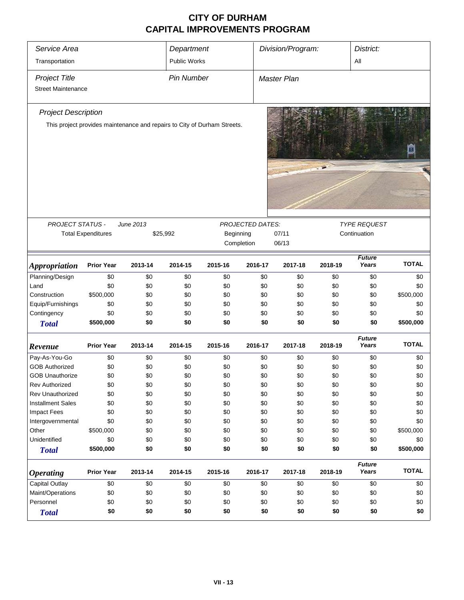| Service Area                |                           |           | Department          |                                                                          |                  | Division/Program:  |         | District:              |              |  |
|-----------------------------|---------------------------|-----------|---------------------|--------------------------------------------------------------------------|------------------|--------------------|---------|------------------------|--------------|--|
| Transportation              |                           |           | <b>Public Works</b> |                                                                          |                  |                    |         | All                    |              |  |
| <b>Project Title</b>        |                           |           | <b>Pin Number</b>   |                                                                          |                  | <b>Master Plan</b> |         |                        |              |  |
| <b>Street Maintenance</b>   |                           |           |                     |                                                                          |                  |                    |         |                        |              |  |
|                             |                           |           |                     |                                                                          |                  |                    |         |                        |              |  |
| <b>Project Description</b>  |                           |           |                     |                                                                          |                  |                    |         |                        |              |  |
|                             |                           |           |                     | This project provides maintenance and repairs to City of Durham Streets. |                  |                    |         |                        |              |  |
|                             |                           |           |                     |                                                                          |                  |                    |         |                        |              |  |
|                             |                           |           |                     |                                                                          |                  |                    |         |                        |              |  |
|                             |                           |           |                     |                                                                          |                  |                    |         |                        |              |  |
|                             |                           |           |                     |                                                                          |                  |                    |         |                        |              |  |
|                             |                           |           |                     |                                                                          |                  |                    |         |                        |              |  |
| PROJECT STATUS -            |                           | June 2013 |                     |                                                                          | PROJECTED DATES: |                    |         | <b>TYPE REQUEST</b>    |              |  |
|                             | <b>Total Expenditures</b> | \$25,992  |                     | Beginning                                                                |                  | 07/11              |         | Continuation           |              |  |
|                             |                           |           |                     | Completion                                                               |                  | 06/13              |         |                        |              |  |
| <i><b>Appropriation</b></i> | <b>Prior Year</b>         | 2013-14   | 2014-15             | 2015-16                                                                  | 2016-17          | 2017-18            | 2018-19 | <b>Future</b><br>Years | <b>TOTAL</b> |  |
| Planning/Design             | \$0                       | \$0       | \$0                 | \$0                                                                      | \$0              | \$0                | \$0     | \$0                    | \$0          |  |
| Land                        | \$0                       | \$0       | \$0                 | \$0                                                                      | \$0              | \$0                | \$0     | \$0                    | \$0          |  |
| Construction                | \$500,000                 | \$0       | \$0                 | \$0                                                                      | \$0              | \$0                | \$0     | \$0                    | \$500,000    |  |
| Equip/Furnishings           | \$0                       | \$0       | \$0                 | \$0                                                                      | \$0              | \$0                | \$0     | \$0                    | \$0          |  |
| Contingency                 | \$0                       | \$0       | \$0                 | \$0                                                                      | \$0              | \$0                | \$0     | \$0                    | \$0          |  |
| <b>Total</b>                | \$500,000                 | \$0       | \$0                 | \$0                                                                      | \$0              | \$0                | \$0     | \$0                    | \$500,000    |  |
|                             |                           |           |                     |                                                                          |                  |                    |         |                        |              |  |
| Revenue                     | <b>Prior Year</b>         | 2013-14   | 2014-15             | 2015-16                                                                  | 2016-17          | 2017-18            | 2018-19 | <b>Future</b><br>Years | <b>TOTAL</b> |  |
| Pay-As-You-Go               | \$0                       | \$0       | \$0                 | \$0                                                                      | \$0              | \$0                | \$0     | \$0                    | \$0          |  |
| <b>GOB Authorized</b>       | \$0                       | \$0       | \$0                 | \$0                                                                      | \$0              | \$0                | \$0     | \$0                    | \$0          |  |
| <b>GOB Unauthorize</b>      | \$0                       | \$0       | \$0                 | \$0                                                                      | \$0              | \$0                | \$0     | \$0                    | \$0          |  |
| <b>Rev Authorized</b>       | \$0                       | \$0       | \$0                 | \$0                                                                      | \$0              | \$0                | \$0     | \$0                    | \$0          |  |
| Rev Unauthorized            | \$0                       | \$0       | \$0                 | \$0                                                                      | \$0              | \$0                | \$0     | \$0                    | \$0          |  |
| <b>Installment Sales</b>    | \$0                       | \$0       | \$0                 | \$0                                                                      | \$0              | \$0                | \$0     | \$0                    | \$0          |  |
| Impact Fees                 | \$0                       | \$0       | \$0                 | \$0                                                                      | \$0              | \$0                | \$0     | \$0                    | \$0          |  |
| Intergovernmental           | \$0                       | \$0       | \$0                 | \$0                                                                      | \$0              | \$0                | \$0     | \$0                    | \$0          |  |
| Other                       | \$500,000                 | \$0       | \$0                 | \$0                                                                      | \$0              | \$0                | \$0     | \$0                    | \$500,000    |  |
| Unidentified                | \$0                       | \$0       | \$0                 | \$0                                                                      | \$0              | \$0                | \$0     | \$0                    | \$0          |  |
| <b>Total</b>                | \$500,000                 | \$0       | \$0                 | \$0                                                                      | \$0              | \$0                | \$0     | \$0                    | \$500,000    |  |
| <b>Operating</b>            | <b>Prior Year</b>         | 2013-14   | 2014-15             | 2015-16                                                                  | 2016-17          | 2017-18            | 2018-19 | <b>Future</b><br>Years | <b>TOTAL</b> |  |
| Capital Outlay              | \$0                       | \$0       | \$0                 | \$0                                                                      | \$0              | \$0                | \$0     | \$0                    | \$0          |  |
| Maint/Operations            | \$0                       | \$0       | \$0                 | \$0                                                                      | \$0              | \$0                | \$0     | \$0                    | \$0          |  |
| Personnel                   | \$0                       | \$0       | \$0                 | \$0                                                                      | \$0              | \$0                | \$0     | \$0                    | \$0          |  |
| <b>Total</b>                | \$0                       | \$0       | \$0                 | \$0                                                                      | \$0              | \$0                | \$0     | \$0                    | \$0          |  |
|                             |                           |           |                     |                                                                          |                  |                    |         |                        |              |  |